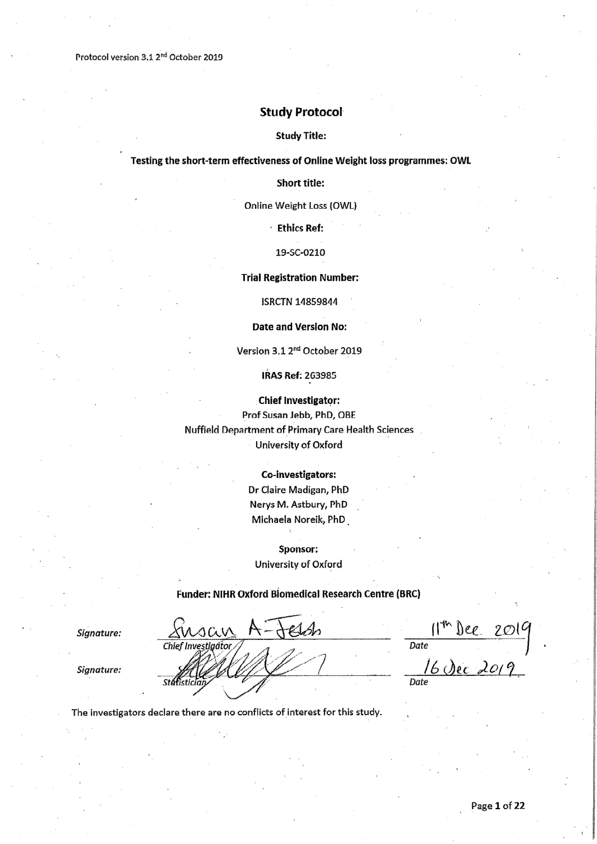Protocol version 3.1 2<sup>nd</sup> October 2019

### **Study Protocol**

#### **Study Title:**

#### Testing the short-term effectiveness of Online Weight loss programmes: OWL

**Short title:** 

Online Weight Loss (OWL)

**Ethics Ref:** 

19-SC-0210

#### **Trial Registration Number:**

**ISRCTN 14859844** 

#### Date and Version No:

Version 3.1 2<sup>nd</sup> October 2019

IRAS Ref: 263985

**Chief Investigator:** 

Prof Susan Jebb, PhD, OBE Nuffield Department of Primary Care Health Sciences University of Oxford

#### Co-investigators:

Dr Claire Madigan, PhD Nerys M. Astbury, PhD Michaela Noreik, PhD

Sponsor: University of Oxford

#### Funder: NIHR Oxford Biomedical Research Centre (BRC)

t Solo

Signature:

Signature:

 $\frac{|1^{th} \text{Dec } 2019|}{\frac{16 \text{ Dec } 2019}{\text{Date}}}$ 

The investigators declare there are no conflicts of interest for this study.

isan

Chief Investiantor

.stá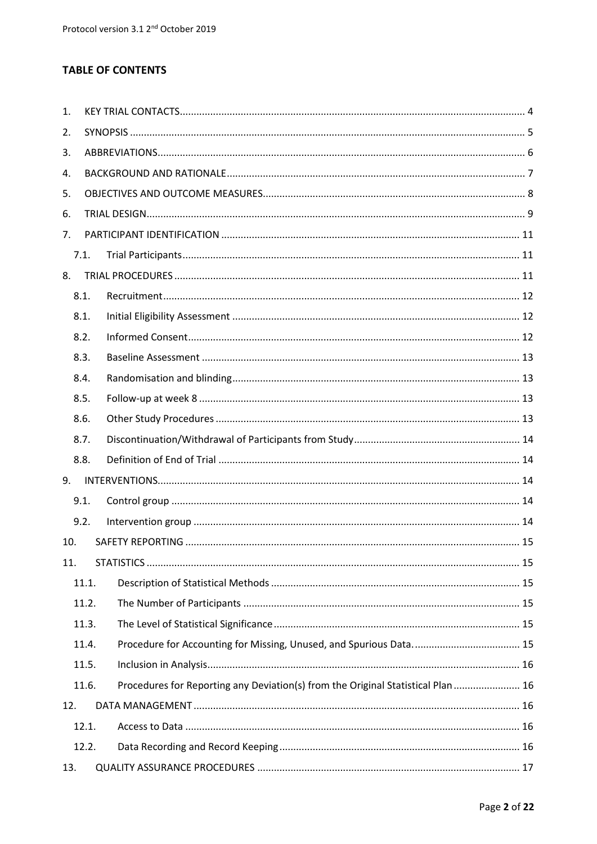# **TABLE OF CONTENTS**

| 1.  |       |                                                                                  |  |  |  |  |  |  |  |  |
|-----|-------|----------------------------------------------------------------------------------|--|--|--|--|--|--|--|--|
| 2.  |       |                                                                                  |  |  |  |  |  |  |  |  |
| 3.  |       |                                                                                  |  |  |  |  |  |  |  |  |
| 4.  |       |                                                                                  |  |  |  |  |  |  |  |  |
| 5.  |       |                                                                                  |  |  |  |  |  |  |  |  |
| 6.  |       |                                                                                  |  |  |  |  |  |  |  |  |
| 7.  |       |                                                                                  |  |  |  |  |  |  |  |  |
|     | 7.1.  |                                                                                  |  |  |  |  |  |  |  |  |
| 8.  |       |                                                                                  |  |  |  |  |  |  |  |  |
|     | 8.1.  |                                                                                  |  |  |  |  |  |  |  |  |
|     | 8.1.  |                                                                                  |  |  |  |  |  |  |  |  |
|     | 8.2.  |                                                                                  |  |  |  |  |  |  |  |  |
|     | 8.3.  |                                                                                  |  |  |  |  |  |  |  |  |
|     | 8.4.  |                                                                                  |  |  |  |  |  |  |  |  |
|     | 8.5.  |                                                                                  |  |  |  |  |  |  |  |  |
|     | 8.6.  |                                                                                  |  |  |  |  |  |  |  |  |
|     | 8.7.  |                                                                                  |  |  |  |  |  |  |  |  |
|     | 8.8.  |                                                                                  |  |  |  |  |  |  |  |  |
| 9.  |       |                                                                                  |  |  |  |  |  |  |  |  |
|     | 9.1.  |                                                                                  |  |  |  |  |  |  |  |  |
|     | 9.2.  |                                                                                  |  |  |  |  |  |  |  |  |
| 10. |       |                                                                                  |  |  |  |  |  |  |  |  |
| 11. |       |                                                                                  |  |  |  |  |  |  |  |  |
|     | 11.1. |                                                                                  |  |  |  |  |  |  |  |  |
|     | 11.2. |                                                                                  |  |  |  |  |  |  |  |  |
|     | 11.3. |                                                                                  |  |  |  |  |  |  |  |  |
|     | 11.4. |                                                                                  |  |  |  |  |  |  |  |  |
|     | 11.5. |                                                                                  |  |  |  |  |  |  |  |  |
|     | 11.6. | Procedures for Reporting any Deviation(s) from the Original Statistical Plan  16 |  |  |  |  |  |  |  |  |
| 12. |       |                                                                                  |  |  |  |  |  |  |  |  |
|     | 12.1. |                                                                                  |  |  |  |  |  |  |  |  |
|     | 12.2. |                                                                                  |  |  |  |  |  |  |  |  |
| 13. |       |                                                                                  |  |  |  |  |  |  |  |  |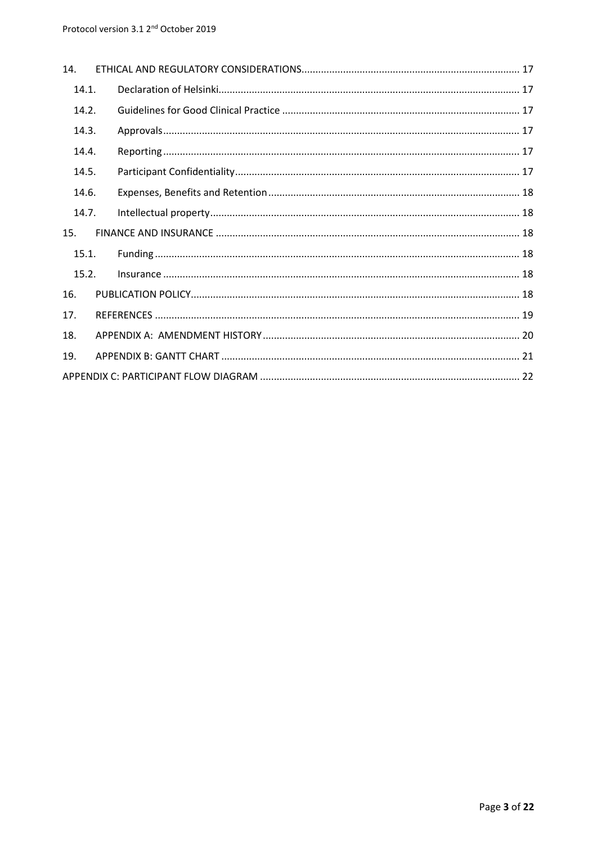| 14.   |  |  |
|-------|--|--|
| 14.1. |  |  |
| 14.2. |  |  |
| 14.3. |  |  |
| 14.4. |  |  |
| 14.5. |  |  |
| 14.6. |  |  |
| 14.7. |  |  |
| 15.   |  |  |
| 15.1. |  |  |
| 15.2. |  |  |
| 16.   |  |  |
| 17.   |  |  |
| 18.   |  |  |
| 19.   |  |  |
|       |  |  |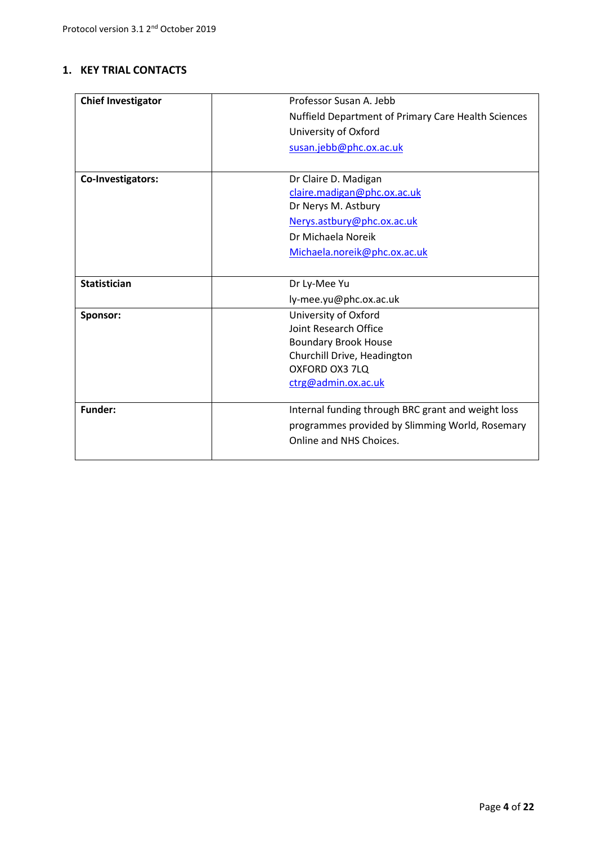## **1. KEY TRIAL CONTACTS**

| <b>Chief Investigator</b> | Professor Susan A. Jebb                             |
|---------------------------|-----------------------------------------------------|
|                           | Nuffield Department of Primary Care Health Sciences |
|                           | University of Oxford                                |
|                           | susan.jebb@phc.ox.ac.uk                             |
|                           |                                                     |
| Co-Investigators:         | Dr Claire D. Madigan                                |
|                           | claire.madigan@phc.ox.ac.uk                         |
|                           | Dr Nerys M. Astbury                                 |
|                           | Nerys.astbury@phc.ox.ac.uk                          |
|                           | Dr Michaela Noreik                                  |
|                           | Michaela.noreik@phc.ox.ac.uk                        |
|                           |                                                     |
| <b>Statistician</b>       | Dr Ly-Mee Yu                                        |
|                           | ly-mee.yu@phc.ox.ac.uk                              |
| Sponsor:                  | University of Oxford                                |
|                           | Joint Research Office                               |
|                           | <b>Boundary Brook House</b>                         |
|                           | Churchill Drive, Headington                         |
|                           | OXFORD OX3 7LQ                                      |
|                           | ctrg@admin.ox.ac.uk                                 |
|                           |                                                     |
| <b>Funder:</b>            | Internal funding through BRC grant and weight loss  |
|                           | programmes provided by Slimming World, Rosemary     |
|                           | Online and NHS Choices.                             |
|                           |                                                     |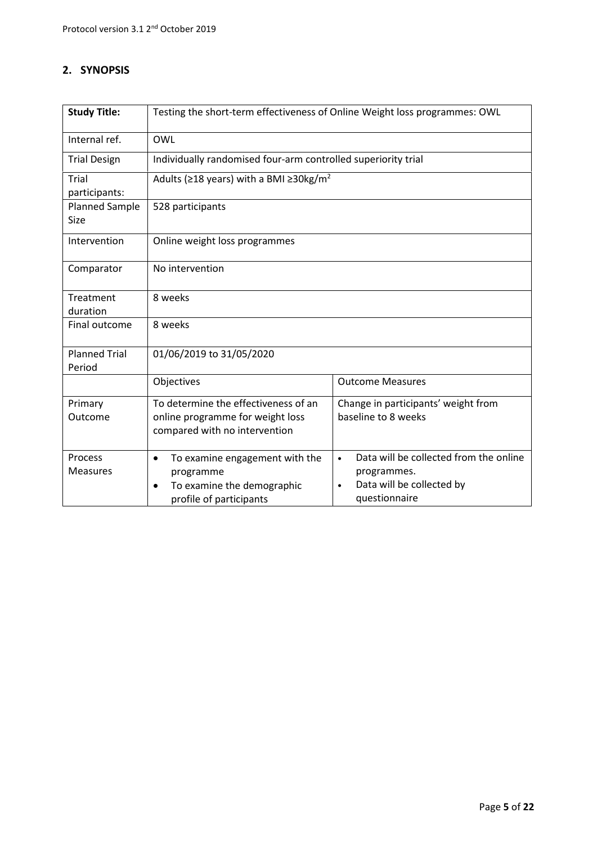# **2. SYNOPSIS**

| <b>Study Title:</b>                  | Testing the short-term effectiveness of Online Weight loss programmes: OWL                                        |                                                                                                                               |  |  |  |  |  |
|--------------------------------------|-------------------------------------------------------------------------------------------------------------------|-------------------------------------------------------------------------------------------------------------------------------|--|--|--|--|--|
| Internal ref.                        | OWL                                                                                                               |                                                                                                                               |  |  |  |  |  |
| <b>Trial Design</b>                  | Individually randomised four-arm controlled superiority trial                                                     |                                                                                                                               |  |  |  |  |  |
| Trial<br>participants:               | Adults ( $\geq$ 18 years) with a BMI $\geq$ 30kg/m <sup>2</sup>                                                   |                                                                                                                               |  |  |  |  |  |
| <b>Planned Sample</b><br><b>Size</b> | 528 participants                                                                                                  |                                                                                                                               |  |  |  |  |  |
| Intervention                         | Online weight loss programmes                                                                                     |                                                                                                                               |  |  |  |  |  |
| Comparator                           | No intervention                                                                                                   |                                                                                                                               |  |  |  |  |  |
| Treatment                            | 8 weeks                                                                                                           |                                                                                                                               |  |  |  |  |  |
| duration<br>Final outcome            | 8 weeks                                                                                                           |                                                                                                                               |  |  |  |  |  |
|                                      |                                                                                                                   |                                                                                                                               |  |  |  |  |  |
| <b>Planned Trial</b><br>Period       | 01/06/2019 to 31/05/2020                                                                                          |                                                                                                                               |  |  |  |  |  |
|                                      | Objectives                                                                                                        | <b>Outcome Measures</b>                                                                                                       |  |  |  |  |  |
| Primary<br>Outcome                   | To determine the effectiveness of an<br>online programme for weight loss<br>compared with no intervention         | Change in participants' weight from<br>baseline to 8 weeks                                                                    |  |  |  |  |  |
| Process<br><b>Measures</b>           | To examine engagement with the<br>$\bullet$<br>programme<br>To examine the demographic<br>profile of participants | Data will be collected from the online<br>$\bullet$<br>programmes.<br>Data will be collected by<br>$\bullet$<br>questionnaire |  |  |  |  |  |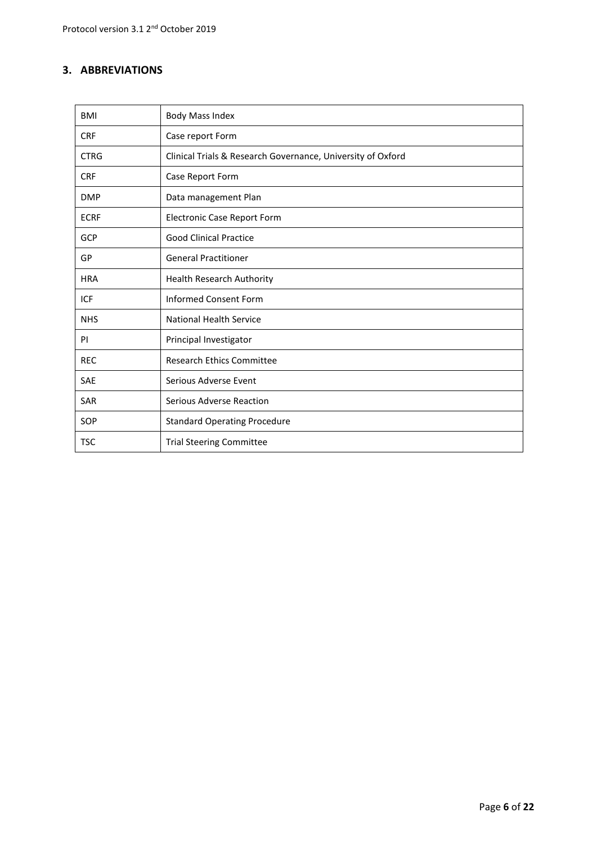## **3. ABBREVIATIONS**

| <b>BMI</b>  | <b>Body Mass Index</b>                                      |
|-------------|-------------------------------------------------------------|
| <b>CRF</b>  | Case report Form                                            |
| <b>CTRG</b> | Clinical Trials & Research Governance, University of Oxford |
| <b>CRF</b>  | Case Report Form                                            |
| <b>DMP</b>  | Data management Plan                                        |
| <b>ECRF</b> | Electronic Case Report Form                                 |
| <b>GCP</b>  | <b>Good Clinical Practice</b>                               |
| GP          | <b>General Practitioner</b>                                 |
| <b>HRA</b>  | <b>Health Research Authority</b>                            |
| ICF         | <b>Informed Consent Form</b>                                |
| <b>NHS</b>  | <b>National Health Service</b>                              |
| PI          | Principal Investigator                                      |
| <b>REC</b>  | <b>Research Ethics Committee</b>                            |
| <b>SAE</b>  | Serious Adverse Event                                       |
| <b>SAR</b>  | Serious Adverse Reaction                                    |
| SOP         | <b>Standard Operating Procedure</b>                         |
| <b>TSC</b>  | <b>Trial Steering Committee</b>                             |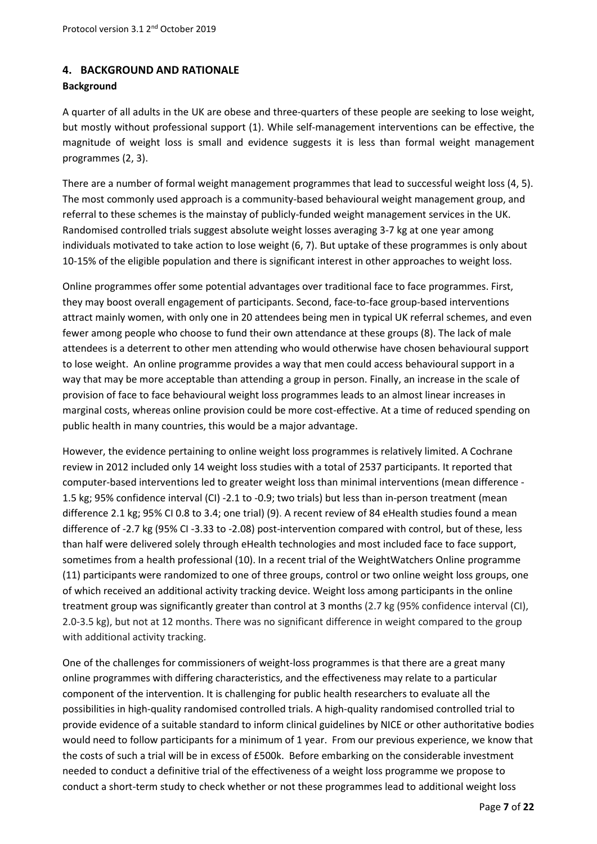## **4. BACKGROUND AND RATIONALE**

### **Background**

A quarter of all adults in the UK are obese and three-quarters of these people are seeking to lose weight, but mostly without professional support (1). While self-management interventions can be effective, the magnitude of weight loss is small and evidence suggests it is less than formal weight management programmes (2, 3).

There are a number of formal weight management programmes that lead to successful weight loss (4, 5). The most commonly used approach is a community-based behavioural weight management group, and referral to these schemes is the mainstay of publicly-funded weight management services in the UK. Randomised controlled trials suggest absolute weight losses averaging 3-7 kg at one year among individuals motivated to take action to lose weight (6, 7). But uptake of these programmes is only about 10-15% of the eligible population and there is significant interest in other approaches to weight loss.

Online programmes offer some potential advantages over traditional face to face programmes. First, they may boost overall engagement of participants. Second, face-to-face group-based interventions attract mainly women, with only one in 20 attendees being men in typical UK referral schemes, and even fewer among people who choose to fund their own attendance at these groups (8). The lack of male attendees is a deterrent to other men attending who would otherwise have chosen behavioural support to lose weight. An online programme provides a way that men could access behavioural support in a way that may be more acceptable than attending a group in person. Finally, an increase in the scale of provision of face to face behavioural weight loss programmes leads to an almost linear increases in marginal costs, whereas online provision could be more cost-effective. At a time of reduced spending on public health in many countries, this would be a major advantage.

However, the evidence pertaining to online weight loss programmes is relatively limited. A Cochrane review in 2012 included only 14 weight loss studies with a total of 2537 participants. It reported that computer-based interventions led to greater weight loss than minimal interventions (mean difference - 1.5 kg; 95% confidence interval (CI) -2.1 to -0.9; two trials) but less than in-person treatment (mean difference 2.1 kg; 95% CI 0.8 to 3.4; one trial) (9). A recent review of 84 eHealth studies found a mean difference of -2.7 kg (95% CI -3.33 to -2.08) post-intervention compared with control, but of these, less than half were delivered solely through eHealth technologies and most included face to face support, sometimes from a health professional (10). In a recent trial of the WeightWatchers Online programme (11) participants were randomized to one of three groups, control or two online weight loss groups, one of which received an additional activity tracking device. Weight loss among participants in the online treatment group was significantly greater than control at 3 months (2.7 kg (95% confidence interval (CI), 2.0‐3.5 kg), but not at 12 months. There was no significant difference in weight compared to the group with additional activity tracking.

One of the challenges for commissioners of weight-loss programmes is that there are a great many online programmes with differing characteristics, and the effectiveness may relate to a particular component of the intervention. It is challenging for public health researchers to evaluate all the possibilities in high-quality randomised controlled trials. A high-quality randomised controlled trial to provide evidence of a suitable standard to inform clinical guidelines by NICE or other authoritative bodies would need to follow participants for a minimum of 1 year. From our previous experience, we know that the costs of such a trial will be in excess of £500k. Before embarking on the considerable investment needed to conduct a definitive trial of the effectiveness of a weight loss programme we propose to conduct a short-term study to check whether or not these programmes lead to additional weight loss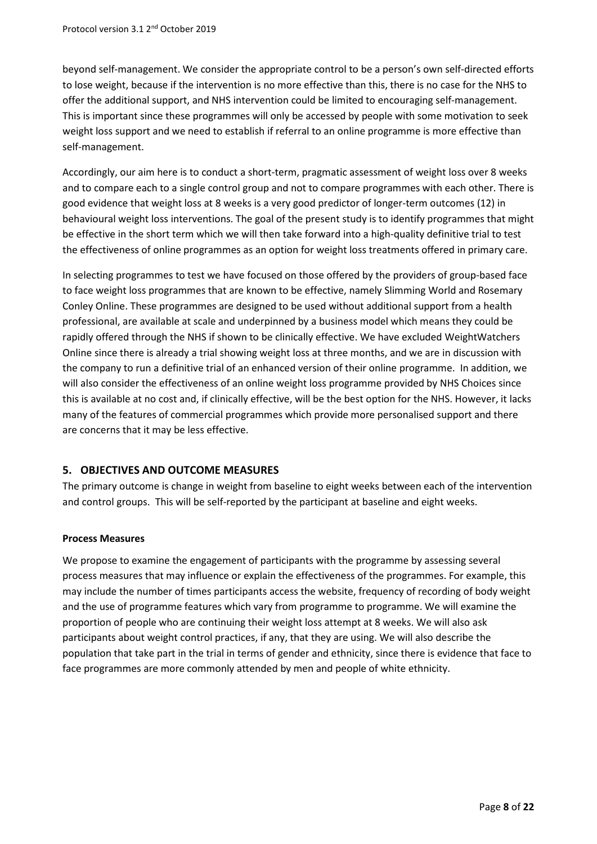beyond self-management. We consider the appropriate control to be a person's own self-directed efforts to lose weight, because if the intervention is no more effective than this, there is no case for the NHS to offer the additional support, and NHS intervention could be limited to encouraging self-management. This is important since these programmes will only be accessed by people with some motivation to seek weight loss support and we need to establish if referral to an online programme is more effective than self-management.

Accordingly, our aim here is to conduct a short-term, pragmatic assessment of weight loss over 8 weeks and to compare each to a single control group and not to compare programmes with each other. There is good evidence that weight loss at 8 weeks is a very good predictor of longer-term outcomes (12) in behavioural weight loss interventions. The goal of the present study is to identify programmes that might be effective in the short term which we will then take forward into a high-quality definitive trial to test the effectiveness of online programmes as an option for weight loss treatments offered in primary care.

In selecting programmes to test we have focused on those offered by the providers of group-based face to face weight loss programmes that are known to be effective, namely Slimming World and Rosemary Conley Online. These programmes are designed to be used without additional support from a health professional, are available at scale and underpinned by a business model which means they could be rapidly offered through the NHS if shown to be clinically effective. We have excluded WeightWatchers Online since there is already a trial showing weight loss at three months, and we are in discussion with the company to run a definitive trial of an enhanced version of their online programme. In addition, we will also consider the effectiveness of an online weight loss programme provided by NHS Choices since this is available at no cost and, if clinically effective, will be the best option for the NHS. However, it lacks many of the features of commercial programmes which provide more personalised support and there are concerns that it may be less effective.

## **5. OBJECTIVES AND OUTCOME MEASURES**

The primary outcome is change in weight from baseline to eight weeks between each of the intervention and control groups. This will be self-reported by the participant at baseline and eight weeks.

### **Process Measures**

We propose to examine the engagement of participants with the programme by assessing several process measures that may influence or explain the effectiveness of the programmes. For example, this may include the number of times participants access the website, frequency of recording of body weight and the use of programme features which vary from programme to programme. We will examine the proportion of people who are continuing their weight loss attempt at 8 weeks. We will also ask participants about weight control practices, if any, that they are using. We will also describe the population that take part in the trial in terms of gender and ethnicity, since there is evidence that face to face programmes are more commonly attended by men and people of white ethnicity.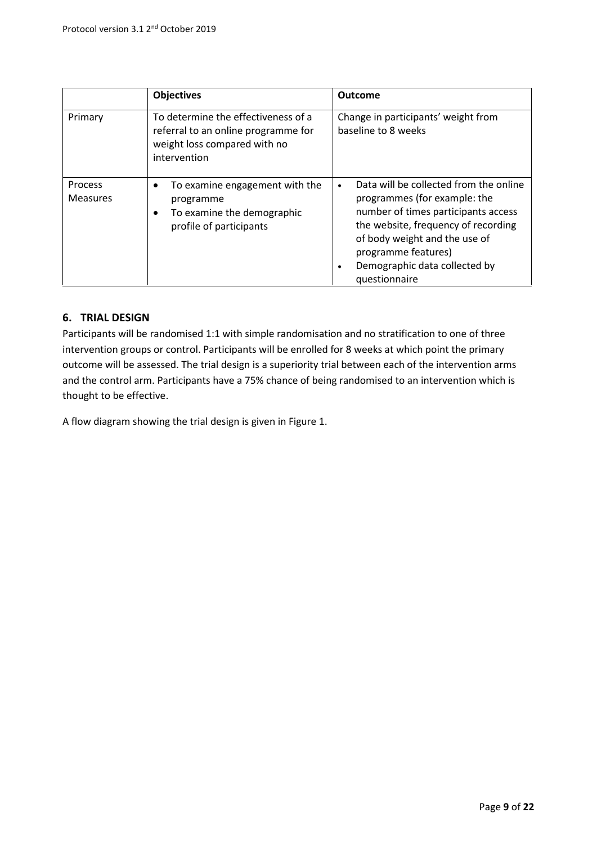|                                   | <b>Objectives</b>                                                                                                          | <b>Outcome</b>                                                                                                                                                                                                                                                              |
|-----------------------------------|----------------------------------------------------------------------------------------------------------------------------|-----------------------------------------------------------------------------------------------------------------------------------------------------------------------------------------------------------------------------------------------------------------------------|
| Primary                           | To determine the effectiveness of a<br>referral to an online programme for<br>weight loss compared with no<br>intervention | Change in participants' weight from<br>baseline to 8 weeks                                                                                                                                                                                                                  |
| <b>Process</b><br><b>Measures</b> | To examine engagement with the<br>programme<br>To examine the demographic<br>profile of participants                       | Data will be collected from the online<br>$\bullet$<br>programmes (for example: the<br>number of times participants access<br>the website, frequency of recording<br>of body weight and the use of<br>programme features)<br>Demographic data collected by<br>questionnaire |

## **6. TRIAL DESIGN**

Participants will be randomised 1:1 with simple randomisation and no stratification to one of three intervention groups or control. Participants will be enrolled for 8 weeks at which point the primary outcome will be assessed. The trial design is a superiority trial between each of the intervention arms and the control arm. Participants have a 75% chance of being randomised to an intervention which is thought to be effective.

A flow diagram showing the trial design is given in Figure 1.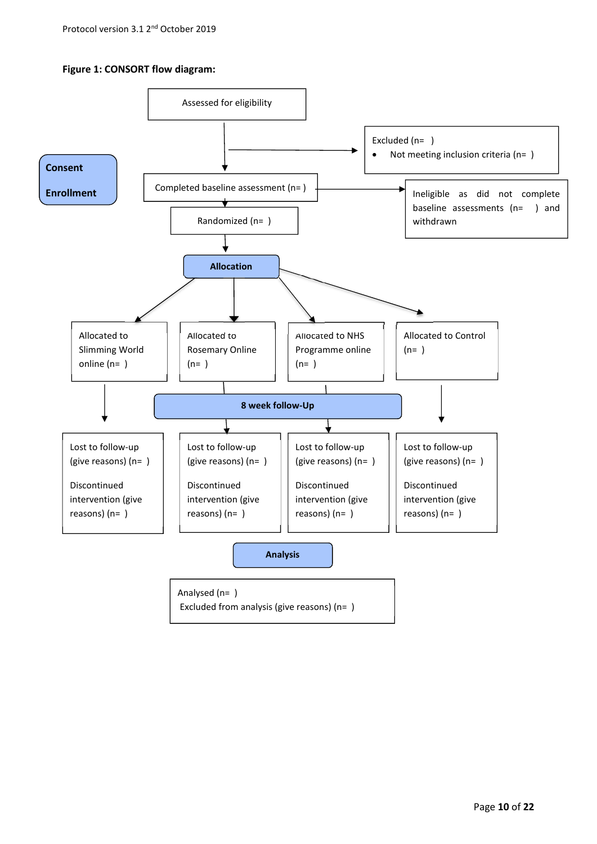### **Figure 1: CONSORT flow diagram:**

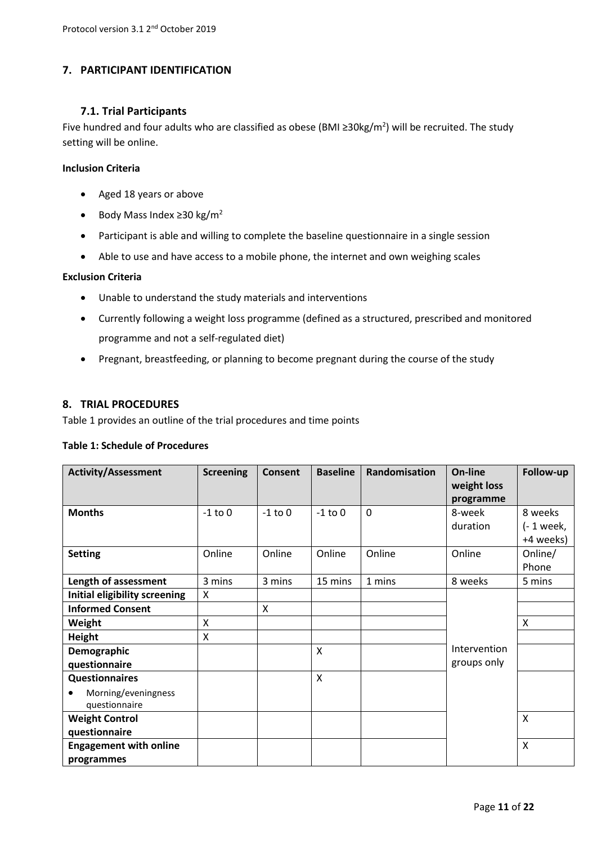## **7. PARTICIPANT IDENTIFICATION**

### **7.1. Trial Participants**

Five hundred and four adults who are classified as obese (BMI ≥30kg/m<sup>2</sup>) will be recruited. The study setting will be online.

### **Inclusion Criteria**

- Aged 18 years or above
- $\bullet$  Body Mass Index ≥30 kg/m<sup>2</sup>
- Participant is able and willing to complete the baseline questionnaire in a single session
- Able to use and have access to a mobile phone, the internet and own weighing scales

### **Exclusion Criteria**

- Unable to understand the study materials and interventions
- Currently following a weight loss programme (defined as a structured, prescribed and monitored programme and not a self-regulated diet)
- Pregnant, breastfeeding, or planning to become pregnant during the course of the study

### **8. TRIAL PROCEDURES**

Table 1 provides an outline of the trial procedures and time points

### **Table 1: Schedule of Procedures**

| <b>Activity/Assessment</b>           | <b>Screening</b> | <b>Consent</b> | <b>Baseline</b> | Randomisation | On-line      | Follow-up   |
|--------------------------------------|------------------|----------------|-----------------|---------------|--------------|-------------|
|                                      |                  |                |                 |               | weight loss  |             |
|                                      |                  |                |                 |               | programme    |             |
| <b>Months</b>                        | $-1$ to $0$      | $-1$ to $0$    | $-1$ to $0$     | $\mathbf 0$   | 8-week       | 8 weeks     |
|                                      |                  |                |                 |               | duration     | $(-1$ week, |
|                                      |                  |                |                 |               |              | +4 weeks)   |
| <b>Setting</b>                       | Online           | Online         | Online          | Online        | Online       | Online/     |
|                                      |                  |                |                 |               |              | Phone       |
| Length of assessment                 | 3 mins           | 3 mins         | 15 mins         | 1 mins        | 8 weeks      | 5 mins      |
| <b>Initial eligibility screening</b> | X                |                |                 |               |              |             |
| <b>Informed Consent</b>              |                  | X              |                 |               |              |             |
| Weight                               | $\sf X$          |                |                 |               |              | Χ           |
| <b>Height</b>                        | X                |                |                 |               |              |             |
| Demographic                          |                  |                | $\sf X$         |               | Intervention |             |
| questionnaire                        |                  |                |                 |               | groups only  |             |
| <b>Questionnaires</b>                |                  |                | $\sf X$         |               |              |             |
| Morning/eveningness                  |                  |                |                 |               |              |             |
| questionnaire                        |                  |                |                 |               |              |             |
| <b>Weight Control</b>                |                  |                |                 |               |              | X           |
| questionnaire                        |                  |                |                 |               |              |             |
| <b>Engagement with online</b>        |                  |                |                 |               |              | X           |
| programmes                           |                  |                |                 |               |              |             |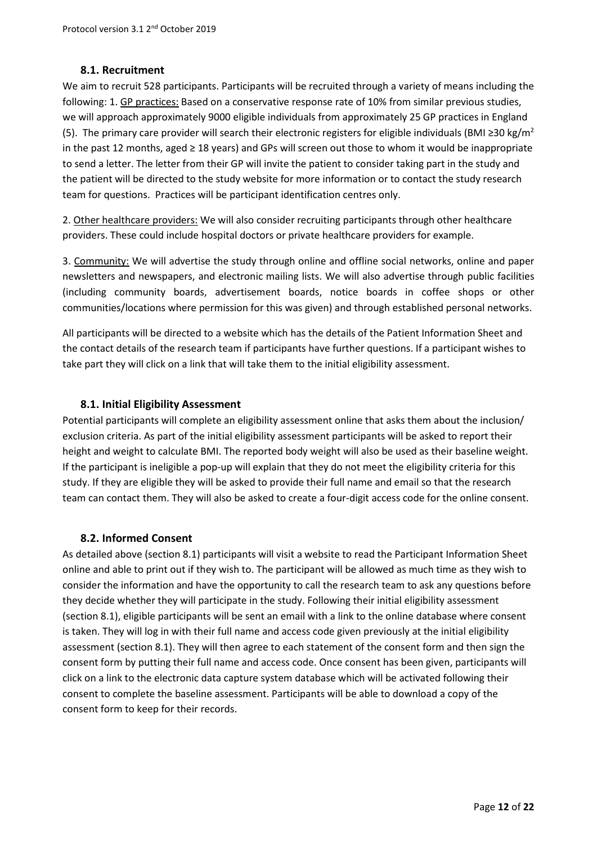### **8.1. Recruitment**

We aim to recruit 528 participants. Participants will be recruited through a variety of means including the following: 1. GP practices: Based on a conservative response rate of 10% from similar previous studies, we will approach approximately 9000 eligible individuals from approximately 25 GP practices in England (5). The primary care provider will search their electronic registers for eligible individuals (BMI  $\geq$ 30 kg/m<sup>2</sup> in the past 12 months, aged ≥ 18 years) and GPs will screen out those to whom it would be inappropriate to send a letter. The letter from their GP will invite the patient to consider taking part in the study and the patient will be directed to the study website for more information or to contact the study research team for questions. Practices will be participant identification centres only.

2. Other healthcare providers: We will also consider recruiting participants through other healthcare providers. These could include hospital doctors or private healthcare providers for example.

3. Community: We will advertise the study through online and offline social networks, online and paper newsletters and newspapers, and electronic mailing lists. We will also advertise through public facilities (including community boards, advertisement boards, notice boards in coffee shops or other communities/locations where permission for this was given) and through established personal networks.

All participants will be directed to a website which has the details of the Patient Information Sheet and the contact details of the research team if participants have further questions. If a participant wishes to take part they will click on a link that will take them to the initial eligibility assessment.

### **8.1. Initial Eligibility Assessment**

Potential participants will complete an eligibility assessment online that asks them about the inclusion/ exclusion criteria. As part of the initial eligibility assessment participants will be asked to report their height and weight to calculate BMI. The reported body weight will also be used as their baseline weight. If the participant is ineligible a pop-up will explain that they do not meet the eligibility criteria for this study. If they are eligible they will be asked to provide their full name and email so that the research team can contact them. They will also be asked to create a four-digit access code for the online consent.

## **8.2. Informed Consent**

As detailed above (section 8.1) participants will visit a website to read the Participant Information Sheet online and able to print out if they wish to. The participant will be allowed as much time as they wish to consider the information and have the opportunity to call the research team to ask any questions before they decide whether they will participate in the study. Following their initial eligibility assessment (section 8.1), eligible participants will be sent an email with a link to the online database where consent is taken. They will log in with their full name and access code given previously at the initial eligibility assessment (section 8.1). They will then agree to each statement of the consent form and then sign the consent form by putting their full name and access code. Once consent has been given, participants will click on a link to the electronic data capture system database which will be activated following their consent to complete the baseline assessment. Participants will be able to download a copy of the consent form to keep for their records.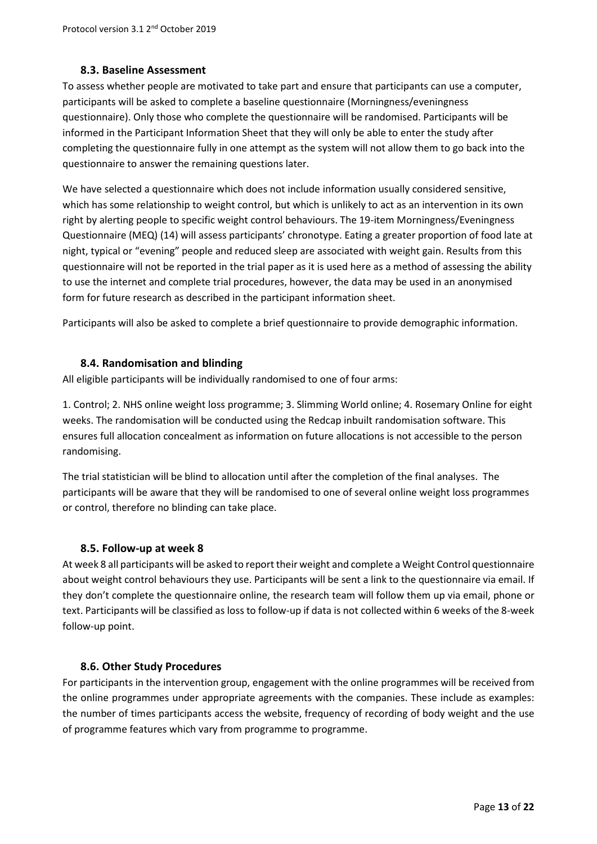### **8.3. Baseline Assessment**

To assess whether people are motivated to take part and ensure that participants can use a computer, participants will be asked to complete a baseline questionnaire (Morningness/eveningness questionnaire). Only those who complete the questionnaire will be randomised. Participants will be informed in the Participant Information Sheet that they will only be able to enter the study after completing the questionnaire fully in one attempt as the system will not allow them to go back into the questionnaire to answer the remaining questions later.

We have selected a questionnaire which does not include information usually considered sensitive, which has some relationship to weight control, but which is unlikely to act as an intervention in its own right by alerting people to specific weight control behaviours. The 19-item Morningness/Eveningness Questionnaire (MEQ) (14) will assess participants' chronotype. Eating a greater proportion of food late at night, typical or "evening" people and reduced sleep are associated with weight gain. Results from this questionnaire will not be reported in the trial paper as it is used here as a method of assessing the ability to use the internet and complete trial procedures, however, the data may be used in an anonymised form for future research as described in the participant information sheet.

Participants will also be asked to complete a brief questionnaire to provide demographic information.

### **8.4. Randomisation and blinding**

All eligible participants will be individually randomised to one of four arms:

1. Control; 2. NHS online weight loss programme; 3. Slimming World online; 4. Rosemary Online for eight weeks. The randomisation will be conducted using the Redcap inbuilt randomisation software. This ensures full allocation concealment as information on future allocations is not accessible to the person randomising.

The trial statistician will be blind to allocation until after the completion of the final analyses. The participants will be aware that they will be randomised to one of several online weight loss programmes or control, therefore no blinding can take place.

### **8.5. Follow-up at week 8**

At week 8 all participants will be asked to report their weight and complete a Weight Control questionnaire about weight control behaviours they use. Participants will be sent a link to the questionnaire via email. If they don't complete the questionnaire online, the research team will follow them up via email, phone or text. Participants will be classified as loss to follow-up if data is not collected within 6 weeks of the 8-week follow-up point.

### **8.6. Other Study Procedures**

For participants in the intervention group, engagement with the online programmes will be received from the online programmes under appropriate agreements with the companies. These include as examples: the number of times participants access the website, frequency of recording of body weight and the use of programme features which vary from programme to programme.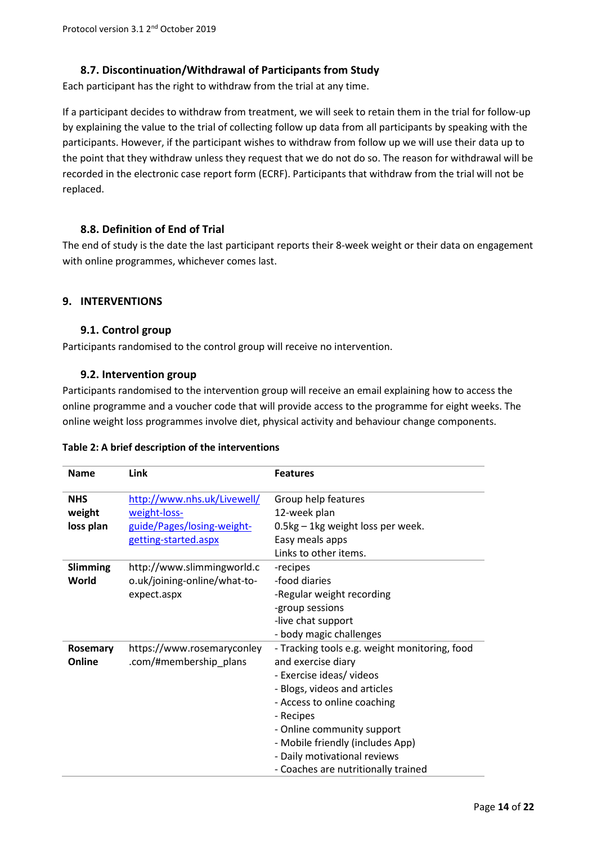## **8.7. Discontinuation/Withdrawal of Participants from Study**

Each participant has the right to withdraw from the trial at any time.

If a participant decides to withdraw from treatment, we will seek to retain them in the trial for follow-up by explaining the value to the trial of collecting follow up data from all participants by speaking with the participants. However, if the participant wishes to withdraw from follow up we will use their data up to the point that they withdraw unless they request that we do not do so. The reason for withdrawal will be recorded in the electronic case report form (ECRF). Participants that withdraw from the trial will not be replaced.

### **8.8. Definition of End of Trial**

The end of study is the date the last participant reports their 8-week weight or their data on engagement with online programmes, whichever comes last.

### **9. INTERVENTIONS**

### **9.1. Control group**

Participants randomised to the control group will receive no intervention.

### **9.2. Intervention group**

Participants randomised to the intervention group will receive an email explaining how to access the online programme and a voucher code that will provide access to the programme for eight weeks. The online weight loss programmes involve diet, physical activity and behaviour change components.

|  |  |  | Table 2: A brief description of the interventions |
|--|--|--|---------------------------------------------------|
|--|--|--|---------------------------------------------------|

| <b>Name</b>                       | Link                                                                                              | <b>Features</b>                                                                                                                                                                                                                                                                                                      |
|-----------------------------------|---------------------------------------------------------------------------------------------------|----------------------------------------------------------------------------------------------------------------------------------------------------------------------------------------------------------------------------------------------------------------------------------------------------------------------|
| <b>NHS</b><br>weight<br>loss plan | http://www.nhs.uk/Livewell/<br>weight-loss-<br>guide/Pages/losing-weight-<br>getting-started.aspx | Group help features<br>12-week plan<br>0.5kg - 1kg weight loss per week.<br>Easy meals apps<br>Links to other items.                                                                                                                                                                                                 |
| Slimming<br>World                 | http://www.slimmingworld.c<br>o.uk/joining-online/what-to-<br>expect.aspx                         | -recipes<br>-food diaries<br>-Regular weight recording<br>-group sessions<br>-live chat support<br>- body magic challenges                                                                                                                                                                                           |
| Rosemary<br>Online                | https://www.rosemaryconley<br>.com/#membership_plans                                              | - Tracking tools e.g. weight monitoring, food<br>and exercise diary<br>- Exercise ideas/ videos<br>- Blogs, videos and articles<br>- Access to online coaching<br>- Recipes<br>- Online community support<br>- Mobile friendly (includes App)<br>- Daily motivational reviews<br>- Coaches are nutritionally trained |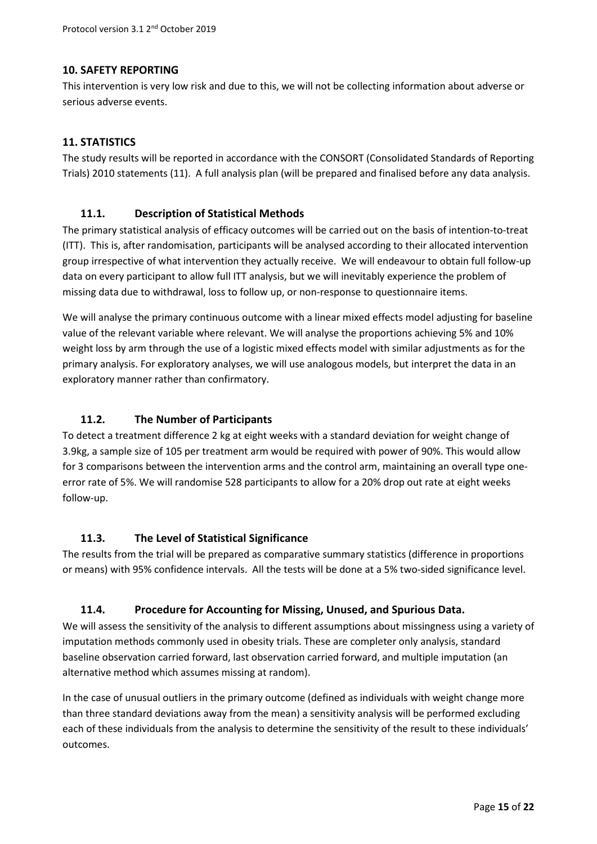### **10. SAFETY REPORTING**

This intervention is very low risk and due to this, we will not be collecting information about adverse or serious adverse events.

### **11. STATISTICS**

The study results will be reported in accordance with the CONSORT (Consolidated Standards of Reporting Trials) 2010 statements (11). A full analysis plan (will be prepared and finalised before any data analysis.

### **11.1. Description of Statistical Methods**

The primary statistical analysis of efficacy outcomes will be carried out on the basis of intention-to-treat (ITT). This is, after randomisation, participants will be analysed according to their allocated intervention group irrespective of what intervention they actually receive. We will endeavour to obtain full follow-up data on every participant to allow full ITT analysis, but we will inevitably experience the problem of missing data due to withdrawal, loss to follow up, or non-response to questionnaire items.

We will analyse the primary continuous outcome with a linear mixed effects model adjusting for baseline value of the relevant variable where relevant. We will analyse the proportions achieving 5% and 10% weight loss by arm through the use of a logistic mixed effects model with similar adjustments as for the primary analysis. For exploratory analyses, we will use analogous models, but interpret the data in an exploratory manner rather than confirmatory.

### **11.2. The Number of Participants**

To detect a treatment difference 2 kg at eight weeks with a standard deviation for weight change of 3.9kg, a sample size of 105 per treatment arm would be required with power of 90%. This would allow for 3 comparisons between the intervention arms and the control arm, maintaining an overall type oneerror rate of 5%. We will randomise 528 participants to allow for a 20% drop out rate at eight weeks follow-up.

### **11.3. The Level of Statistical Significance**

The results from the trial will be prepared as comparative summary statistics (difference in proportions or means) with 95% confidence intervals. All the tests will be done at a 5% two-sided significance level.

### **11.4. Procedure for Accounting for Missing, Unused, and Spurious Data.**

We will assess the sensitivity of the analysis to different assumptions about missingness using a variety of imputation methods commonly used in obesity trials. These are completer only analysis, standard baseline observation carried forward, last observation carried forward, and multiple imputation (an alternative method which assumes missing at random).

In the case of unusual outliers in the primary outcome (defined as individuals with weight change more than three standard deviations away from the mean) a sensitivity analysis will be performed excluding each of these individuals from the analysis to determine the sensitivity of the result to these individuals' outcomes.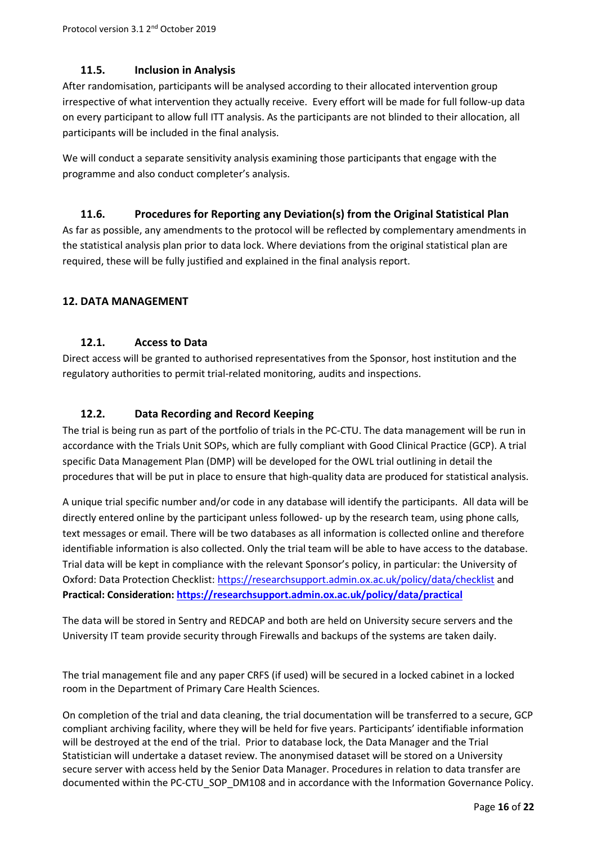# **11.5. Inclusion in Analysis**

After randomisation, participants will be analysed according to their allocated intervention group irrespective of what intervention they actually receive. Every effort will be made for full follow-up data on every participant to allow full ITT analysis. As the participants are not blinded to their allocation, all participants will be included in the final analysis.

We will conduct a separate sensitivity analysis examining those participants that engage with the programme and also conduct completer's analysis.

## **11.6. Procedures for Reporting any Deviation(s) from the Original Statistical Plan**

As far as possible, any amendments to the protocol will be reflected by complementary amendments in the statistical analysis plan prior to data lock. Where deviations from the original statistical plan are required, these will be fully justified and explained in the final analysis report.

## **12. DATA MANAGEMENT**

## **12.1. Access to Data**

Direct access will be granted to authorised representatives from the Sponsor, host institution and the regulatory authorities to permit trial-related monitoring, audits and inspections.

## **12.2. Data Recording and Record Keeping**

The trial is being run as part of the portfolio of trials in the PC-CTU. The data management will be run in accordance with the Trials Unit SOPs, which are fully compliant with Good Clinical Practice (GCP). A trial specific Data Management Plan (DMP) will be developed for the OWL trial outlining in detail the procedures that will be put in place to ensure that high-quality data are produced for statistical analysis.

A unique trial specific number and/or code in any database will identify the participants. All data will be directly entered online by the participant unless followed- up by the research team, using phone calls, text messages or email. There will be two databases as all information is collected online and therefore identifiable information is also collected. Only the trial team will be able to have access to the database. Trial data will be kept in compliance with the relevant Sponsor's policy, in particular: the University of Oxford: Data Protection Checklist: https://researchsupport.admin.ox.ac.uk/policy/data/checklist and **Practical: Consideration: https://researchsupport.admin.ox.ac.uk/policy/data/practical**

The data will be stored in Sentry and REDCAP and both are held on University secure servers and the University IT team provide security through Firewalls and backups of the systems are taken daily.

The trial management file and any paper CRFS (if used) will be secured in a locked cabinet in a locked room in the Department of Primary Care Health Sciences.

On completion of the trial and data cleaning, the trial documentation will be transferred to a secure, GCP compliant archiving facility, where they will be held for five years. Participants' identifiable information will be destroyed at the end of the trial. Prior to database lock, the Data Manager and the Trial Statistician will undertake a dataset review. The anonymised dataset will be stored on a University secure server with access held by the Senior Data Manager. Procedures in relation to data transfer are documented within the PC-CTU\_SOP\_DM108 and in accordance with the Information Governance Policy.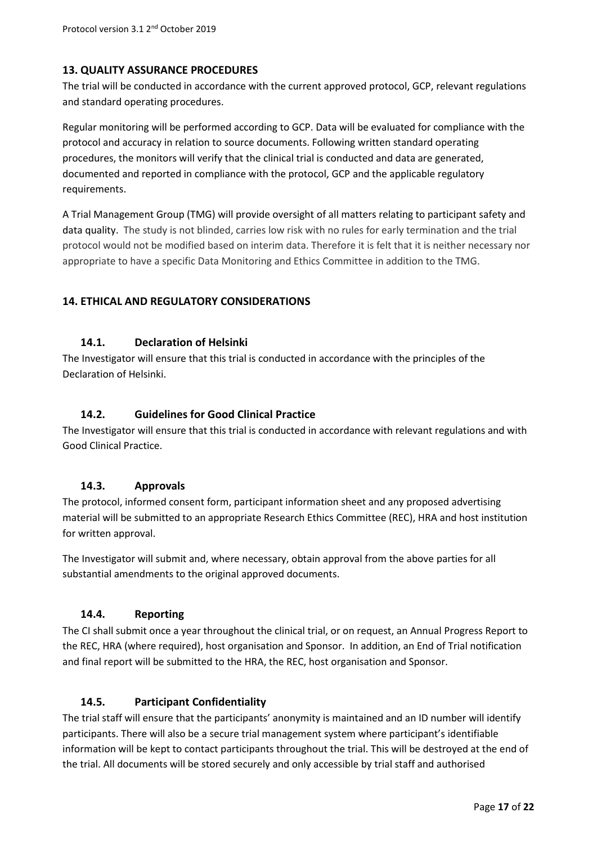# **13. QUALITY ASSURANCE PROCEDURES**

The trial will be conducted in accordance with the current approved protocol, GCP, relevant regulations and standard operating procedures.

Regular monitoring will be performed according to GCP. Data will be evaluated for compliance with the protocol and accuracy in relation to source documents. Following written standard operating procedures, the monitors will verify that the clinical trial is conducted and data are generated, documented and reported in compliance with the protocol, GCP and the applicable regulatory requirements.

A Trial Management Group (TMG) will provide oversight of all matters relating to participant safety and data quality. The study is not blinded, carries low risk with no rules for early termination and the trial protocol would not be modified based on interim data. Therefore it is felt that it is neither necessary nor appropriate to have a specific Data Monitoring and Ethics Committee in addition to the TMG.

## **14. ETHICAL AND REGULATORY CONSIDERATIONS**

### **14.1. Declaration of Helsinki**

The Investigator will ensure that this trial is conducted in accordance with the principles of the Declaration of Helsinki.

## **14.2. Guidelines for Good Clinical Practice**

The Investigator will ensure that this trial is conducted in accordance with relevant regulations and with Good Clinical Practice.

### **14.3. Approvals**

The protocol, informed consent form, participant information sheet and any proposed advertising material will be submitted to an appropriate Research Ethics Committee (REC), HRA and host institution for written approval.

The Investigator will submit and, where necessary, obtain approval from the above parties for all substantial amendments to the original approved documents.

## **14.4. Reporting**

The CI shall submit once a year throughout the clinical trial, or on request, an Annual Progress Report to the REC, HRA (where required), host organisation and Sponsor. In addition, an End of Trial notification and final report will be submitted to the HRA, the REC, host organisation and Sponsor.

## **14.5. Participant Confidentiality**

The trial staff will ensure that the participants' anonymity is maintained and an ID number will identify participants. There will also be a secure trial management system where participant's identifiable information will be kept to contact participants throughout the trial. This will be destroyed at the end of the trial. All documents will be stored securely and only accessible by trial staff and authorised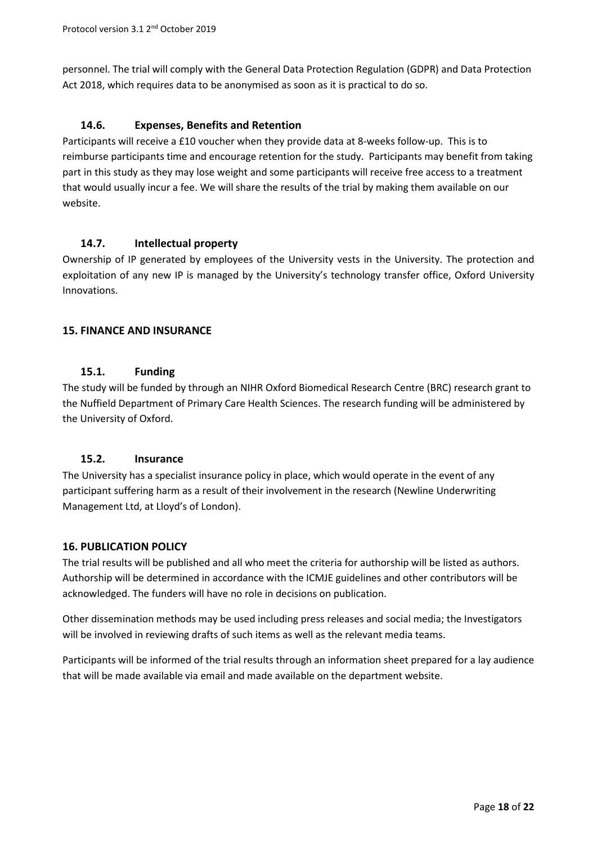personnel. The trial will comply with the General Data Protection Regulation (GDPR) and Data Protection Act 2018, which requires data to be anonymised as soon as it is practical to do so.

## **14.6. Expenses, Benefits and Retention**

Participants will receive a £10 voucher when they provide data at 8-weeks follow-up. This is to reimburse participants time and encourage retention for the study. Participants may benefit from taking part in this study as they may lose weight and some participants will receive free access to a treatment that would usually incur a fee. We will share the results of the trial by making them available on our website.

## **14.7. Intellectual property**

Ownership of IP generated by employees of the University vests in the University. The protection and exploitation of any new IP is managed by the University's technology transfer office, Oxford University Innovations.

## **15. FINANCE AND INSURANCE**

## **15.1. Funding**

The study will be funded by through an NIHR Oxford Biomedical Research Centre (BRC) research grant to the Nuffield Department of Primary Care Health Sciences. The research funding will be administered by the University of Oxford.

## **15.2. Insurance**

The University has a specialist insurance policy in place, which would operate in the event of any participant suffering harm as a result of their involvement in the research (Newline Underwriting Management Ltd, at Lloyd's of London).

## **16. PUBLICATION POLICY**

The trial results will be published and all who meet the criteria for authorship will be listed as authors. Authorship will be determined in accordance with the ICMJE guidelines and other contributors will be acknowledged. The funders will have no role in decisions on publication.

Other dissemination methods may be used including press releases and social media; the Investigators will be involved in reviewing drafts of such items as well as the relevant media teams.

Participants will be informed of the trial results through an information sheet prepared for a lay audience that will be made available via email and made available on the department website.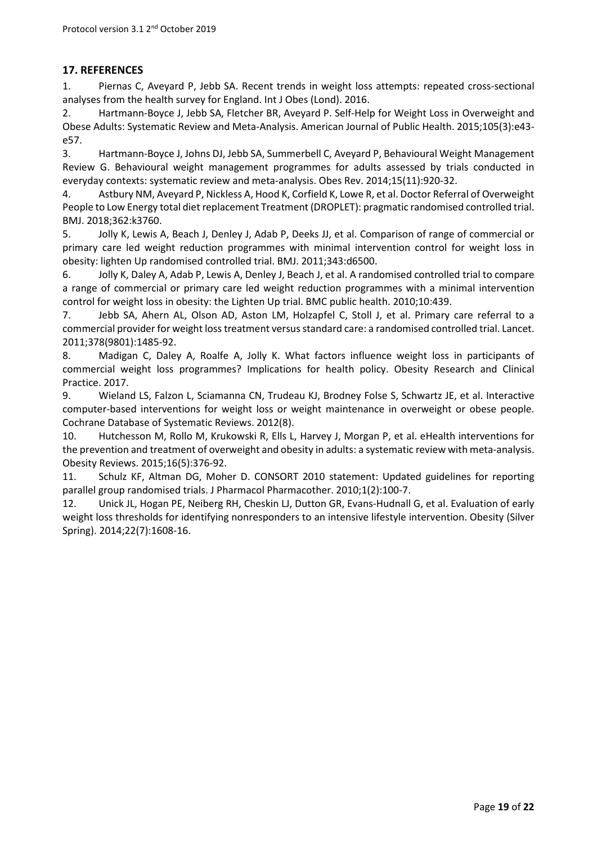## **17. REFERENCES**

1. Piernas C, Aveyard P, Jebb SA. Recent trends in weight loss attempts: repeated cross-sectional analyses from the health survey for England. Int J Obes (Lond). 2016.

2. Hartmann-Boyce J, Jebb SA, Fletcher BR, Aveyard P. Self-Help for Weight Loss in Overweight and Obese Adults: Systematic Review and Meta-Analysis. American Journal of Public Health. 2015;105(3):e43 e57.

3. Hartmann-Boyce J, Johns DJ, Jebb SA, Summerbell C, Aveyard P, Behavioural Weight Management Review G. Behavioural weight management programmes for adults assessed by trials conducted in everyday contexts: systematic review and meta-analysis. Obes Rev. 2014;15(11):920-32.

4. Astbury NM, Aveyard P, Nickless A, Hood K, Corfield K, Lowe R, et al. Doctor Referral of Overweight People to Low Energy total diet replacement Treatment (DROPLET): pragmatic randomised controlled trial. BMJ. 2018;362:k3760.

5. Jolly K, Lewis A, Beach J, Denley J, Adab P, Deeks JJ, et al. Comparison of range of commercial or primary care led weight reduction programmes with minimal intervention control for weight loss in obesity: lighten Up randomised controlled trial. BMJ. 2011;343:d6500.

6. Jolly K, Daley A, Adab P, Lewis A, Denley J, Beach J, et al. A randomised controlled trial to compare a range of commercial or primary care led weight reduction programmes with a minimal intervention control for weight loss in obesity: the Lighten Up trial. BMC public health. 2010;10:439.

7. Jebb SA, Ahern AL, Olson AD, Aston LM, Holzapfel C, Stoll J, et al. Primary care referral to a commercial provider for weight loss treatment versus standard care: a randomised controlled trial. Lancet. 2011;378(9801):1485-92.

8. Madigan C, Daley A, Roalfe A, Jolly K. What factors influence weight loss in participants of commercial weight loss programmes? Implications for health policy. Obesity Research and Clinical Practice. 2017.

9. Wieland LS, Falzon L, Sciamanna CN, Trudeau KJ, Brodney Folse S, Schwartz JE, et al. Interactive computer-based interventions for weight loss or weight maintenance in overweight or obese people. Cochrane Database of Systematic Reviews. 2012(8).

10. Hutchesson M, Rollo M, Krukowski R, Ells L, Harvey J, Morgan P, et al. eHealth interventions for the prevention and treatment of overweight and obesity in adults: a systematic review with meta-analysis. Obesity Reviews. 2015;16(5):376-92.

11. Schulz KF, Altman DG, Moher D. CONSORT 2010 statement: Updated guidelines for reporting parallel group randomised trials. J Pharmacol Pharmacother. 2010;1(2):100-7.

12. Unick JL, Hogan PE, Neiberg RH, Cheskin LJ, Dutton GR, Evans-Hudnall G, et al. Evaluation of early weight loss thresholds for identifying nonresponders to an intensive lifestyle intervention. Obesity (Silver Spring). 2014;22(7):1608-16.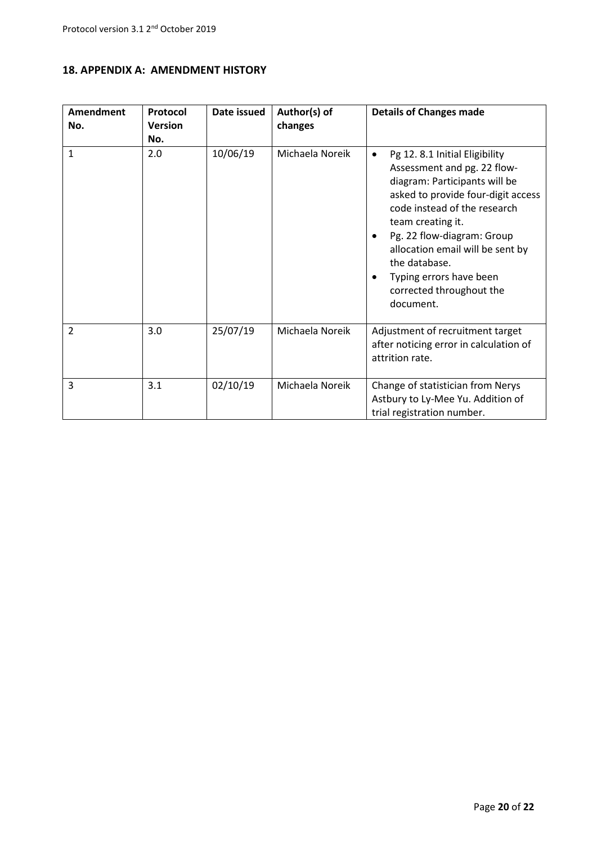| <b>Amendment</b> | Protocol       | Date issued | Author(s) of    | <b>Details of Changes made</b>                                                                                                                                                                                                                                                                                                                       |
|------------------|----------------|-------------|-----------------|------------------------------------------------------------------------------------------------------------------------------------------------------------------------------------------------------------------------------------------------------------------------------------------------------------------------------------------------------|
| No.              | <b>Version</b> |             | changes         |                                                                                                                                                                                                                                                                                                                                                      |
|                  | No.            |             |                 |                                                                                                                                                                                                                                                                                                                                                      |
| $\mathbf{1}$     | 2.0            | 10/06/19    | Michaela Noreik | Pg 12.8.1 Initial Eligibility<br>٠<br>Assessment and pg. 22 flow-<br>diagram: Participants will be<br>asked to provide four-digit access<br>code instead of the research<br>team creating it.<br>Pg. 22 flow-diagram: Group<br>allocation email will be sent by<br>the database.<br>Typing errors have been<br>corrected throughout the<br>document. |
| 2                | 3.0            | 25/07/19    | Michaela Noreik | Adjustment of recruitment target<br>after noticing error in calculation of<br>attrition rate.                                                                                                                                                                                                                                                        |
| 3                | 3.1            | 02/10/19    | Michaela Noreik | Change of statistician from Nerys<br>Astbury to Ly-Mee Yu. Addition of<br>trial registration number.                                                                                                                                                                                                                                                 |

## **18. APPENDIX A: AMENDMENT HISTORY**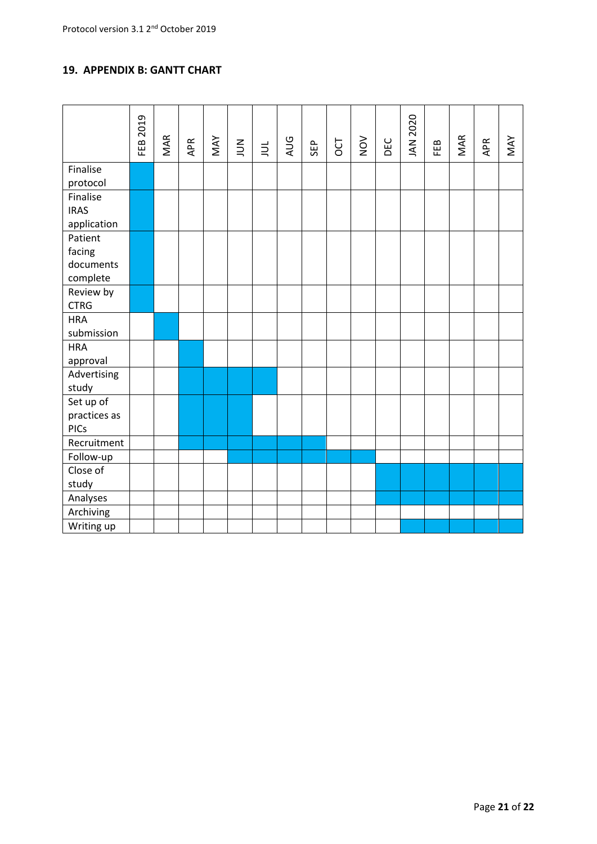## **19. APPENDIX B: GANTT CHART**

|                                            | <b>FEB 2019</b> | MAR | APR | MAY | $\sum_{n=1}^{\infty}$ | $\exists$ | AUG | SEP | OCT | NOV | DEC | JAN 2020 | FEB | MAR | APR | MAY |
|--------------------------------------------|-----------------|-----|-----|-----|-----------------------|-----------|-----|-----|-----|-----|-----|----------|-----|-----|-----|-----|
| Finalise<br>protocol                       |                 |     |     |     |                       |           |     |     |     |     |     |          |     |     |     |     |
| Finalise<br><b>IRAS</b><br>application     |                 |     |     |     |                       |           |     |     |     |     |     |          |     |     |     |     |
| Patient<br>facing<br>documents<br>complete |                 |     |     |     |                       |           |     |     |     |     |     |          |     |     |     |     |
| Review by<br><b>CTRG</b>                   |                 |     |     |     |                       |           |     |     |     |     |     |          |     |     |     |     |
| <b>HRA</b><br>submission                   |                 |     |     |     |                       |           |     |     |     |     |     |          |     |     |     |     |
| <b>HRA</b><br>approval                     |                 |     |     |     |                       |           |     |     |     |     |     |          |     |     |     |     |
| Advertising<br>study                       |                 |     |     |     |                       |           |     |     |     |     |     |          |     |     |     |     |
| Set up of<br>practices as<br><b>PICs</b>   |                 |     |     |     |                       |           |     |     |     |     |     |          |     |     |     |     |
| Recruitment                                |                 |     |     |     |                       |           |     |     |     |     |     |          |     |     |     |     |
| Follow-up                                  |                 |     |     |     |                       |           |     |     |     |     |     |          |     |     |     |     |
| Close of<br>study                          |                 |     |     |     |                       |           |     |     |     |     |     |          |     |     |     |     |
| Analyses                                   |                 |     |     |     |                       |           |     |     |     |     |     |          |     |     |     |     |
| Archiving                                  |                 |     |     |     |                       |           |     |     |     |     |     |          |     |     |     |     |
| Writing up                                 |                 |     |     |     |                       |           |     |     |     |     |     |          |     |     |     |     |